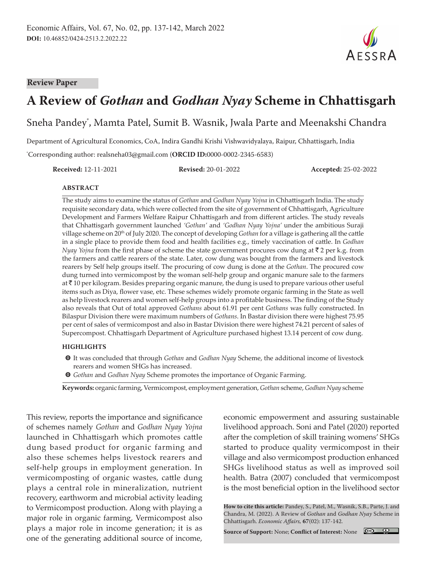#### **Review Paper**



# **A Review of** *Gothan* **and** *Godhan Nyay* **Scheme in Chhattisgarh**

Sneha Pandey\* , Mamta Patel, Sumit B. Wasnik, Jwala Parte and Meenakshi Chandra

Department of Agricultural Economics, CoA, Indira Gandhi Krishi Vishwavidyalaya, Raipur, Chhattisgarh, India

\* Corresponding author: realsneha03@gmail.com (**ORCID ID:**0000-0002-2345-6583)

**Received:** 12-11-2021 **Revised:** 20-01-2022 **Accepted:** 25-02-2022

#### **ABSTRACT**

The study aims to examine the status of *Gothan* and *Godhan Nyay Yojna* in Chhattisgarh India. The study requisite secondary data, which were collected from the site of government of Chhattisgarh, Agriculture Development and Farmers Welfare Raipur Chhattisgarh and from different articles. The study reveals that Chhattisgarh government launched *'Gothan'* and *'Godhan Nyay Yojna'* under the ambitious Suraji village scheme on 20th of July 2020. The concept of developing *Gothan* for a village is gathering all the cattle in a single place to provide them food and health facilities e.g., timely vaccination of cattle. In *Godhan Nyay Yojna* from the first phase of scheme the state government procures cow dung at ₹ 2 per k.g. from the farmers and cattle rearers of the state. Later, cow dung was bought from the farmers and livestock rearers by Self help groups itself. The procuring of cow dung is done at the *Gothan*. The procured cow dung turned into vermicompost by the woman self-help group and organic manure sale to the farmers at  $\bar{\tau}$  10 per kilogram. Besides preparing organic manure, the dung is used to prepare various other useful items such as Diya, flower vase, etc. These schemes widely promote organic farming in the State as well as help livestock rearers and women self-help groups into a profitable business. The finding of the Study also reveals that Out of total approved *Gothans* about 61.91 per cent *Gothans* was fully constructed. In Bilaspur Division there were maximum numbers of *Gothans*. In Bastar division there were highest 75.95 per cent of sales of vermicompost and also in Bastar Division there were highest 74.21 percent of sales of Supercompost. Chhattisgarh Department of Agriculture purchased highest 13.14 percent of cow dung.

#### **HIGHLIGHTS**

- m It was concluded that through *Gothan* and *Godhan Nyay* Scheme, the additional income of livestock rearers and women SHGs has increased.
- m *Gothan* and *Godhan Nyay* Scheme promotes the importance of Organic Farming.

**Keywords:** organic farming, Vermicompost, employment generation, *Gothan* scheme, *Godhan Nyay* scheme

This review, reports the importance and significance of schemes namely *Gothan* and *Godhan Nyay Yojna* launched in Chhattisgarh which promotes cattle dung based product for organic farming and also these schemes helps livestock rearers and self-help groups in employment generation. In vermicomposting of organic wastes, cattle dung plays a central role in mineralization, nutrient recovery, earthworm and microbial activity leading to Vermicompost production. Along with playing a major role in organic farming, Vermicompost also plays a major role in income generation; it is as one of the generating additional source of income,

economic empowerment and assuring sustainable livelihood approach. Soni and Patel (2020) reported after the completion of skill training womens' SHGs started to produce quality vermicompost in their village and also vermicompost production enhanced SHGs livelihood status as well as improved soil health. Batra (2007) concluded that vermicompost is the most beneficial option in the livelihood sector

**How to cite this article:** Pandey, S., Patel, M., Wasnik, S.B., Parte, J. and Chandra, M. (2022). A Review of *Gothan* and *Godhan Nyay* Scheme in Chhattisgarh. *Economic Affairs,* **67**(02): 137-142.

**Source of Support:** None; **Conflict of Interest:** None

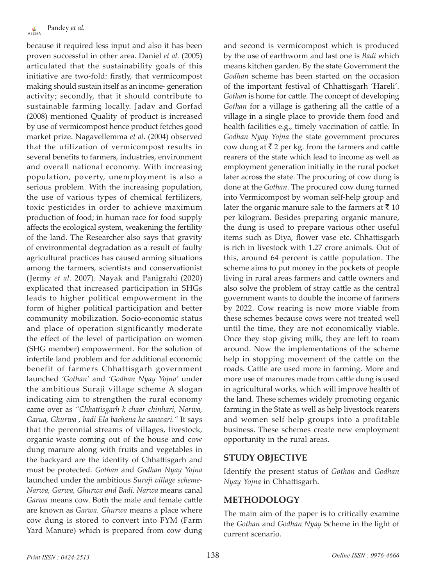because it required less input and also it has been proven successful in other area. Daniel *et al.* (2005) articulated that the sustainability goals of this initiative are two-fold: firstly, that vermicompost making should sustain itself as an income- generation activity; secondly, that it should contribute to sustainable farming locally. Jadav and Gorfad (2008) mentioned Quality of product is increased by use of vermicompost hence product fetches good market prize. Nagavellemma *et al.* (2004) observed that the utilization of vermicompost results in several benefits to farmers, industries, environment and overall national economy. With increasing population, poverty, unemployment is also a serious problem. With the increasing population, the use of various types of chemical fertilizers, toxic pesticides in order to achieve maximum production of food; in human race for food supply affects the ecological system, weakening the fertility of the land. The Researcher also says that gravity of environmental degradation as a result of faulty agricultural practices has caused arming situations among the farmers, scientists and conservationist (Jermy *et al*. 2007). Nayak and Panigrahi (2020) explicated that increased participation in SHGs leads to higher political empowerment in the form of higher political participation and better community mobilization. Socio-economic status and place of operation significantly moderate the effect of the level of participation on women (SHG member) empowerment. For the solution of infertile land problem and for additional economic benefit of farmers Chhattisgarh government launched *'Gothan'* and *'Godhan Nyay Yojna'* under the ambitious Suraji village scheme A slogan indicating aim to strengthen the rural economy came over as *"Chhattisgarh k chaar chinhari, Narwa, Garua, Ghurwa , badi Ela bachana he sanwari."* It says that the perennial streams of villages, livestock, organic waste coming out of the house and cow dung manure along with fruits and vegetables in the backyard are the identity of Chhattisgarh and must be protected. *Gothan* and *Godhan Nyay Yojna* launched under the ambitious *Suraji village scheme-Narwa, Garwa, Ghurwa and Badi*. *Narwa* means canal *Garwa* means cow. Both the male and female cattle are known as *Garwa*. *Ghurwa* means a place where cow dung is stored to convert into FYM (Farm Yard Manure) which is prepared from cow dung

and second is vermicompost which is produced by the use of earthworm and last one is *Badi* which means kitchen garden. By the state Government the *Godhan* scheme has been started on the occasion of the important festival of Chhattisgarh 'Hareli'. *Gothan* is home for cattle. The concept of developing *Gothan* for a village is gathering all the cattle of a village in a single place to provide them food and health facilities e.g., timely vaccination of cattle. In *Godhan Nyay Yojna* the state government procures cow dung at  $\bar{\tau}$  2 per kg. from the farmers and cattle rearers of the state which lead to income as well as employment generation initially in the rural pocket later across the state. The procuring of cow dung is done at the *Gothan*. The procured cow dung turned into Vermicompost by woman self-help group and later the organic manure sale to the farmers at  $\bar{z}$  10 per kilogram. Besides preparing organic manure, the dung is used to prepare various other useful items such as Diya, flower vase etc. Chhattisgarh is rich in livestock with 1.27 crore animals. Out of this, around 64 percent is cattle population. The scheme aims to put money in the pockets of people living in rural areas farmers and cattle owners and also solve the problem of stray cattle as the central government wants to double the income of farmers by 2022. Cow rearing is now more viable from these schemes because cows were not treated well until the time, they are not economically viable. Once they stop giving milk, they are left to roam around. Now the implementations of the scheme help in stopping movement of the cattle on the roads. Cattle are used more in farming. More and more use of manures made from cattle dung is used in agricultural works, which will improve health of the land. These schemes widely promoting organic farming in the State as well as help livestock rearers and women self help groups into a profitable business. These schemes create new employment opportunity in the rural areas.

## **STUDY OBJECTIVE**

Identify the present status of *Gothan* and *Godhan Nyay Yojna* in Chhattisgarh.

## **METHODOLOGY**

The main aim of the paper is to critically examine the *Gothan* and *Godhan Nyay* Scheme in the light of current scenario.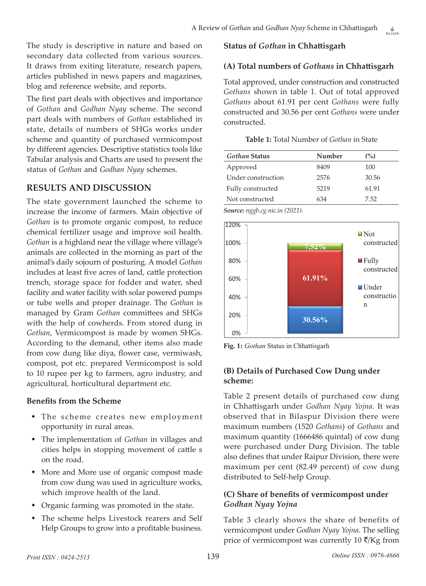The study is descriptive in nature and based on secondary data collected from various sources. It draws from exiting literature, research papers, articles published in news papers and magazines, blog and reference website, and reports.

The first part deals with objectives and importance of *Gothan* and *Godhan Nyay* scheme. The second part deals with numbers of *Gothan* established in state, details of numbers of SHGs works under scheme and quantity of purchased vermicompost by different agencies. Descriptive statistics tools like Tabular analysis and Charts are used to present the status of *Gothan* and *Godhan Nyay* schemes.

# **RESULTS AND DISCUSSION**

The state government launched the scheme to increase the income of farmers. Main objective of *Gothan* is to promote organic compost, to reduce chemical fertilizer usage and improve soil health. *Gothan* is a highland near the village where village's animals are collected in the morning as part of the animal's daily sojourn of posturing. A model *Gothan* includes at least five acres of land, cattle protection trench, storage space for fodder and water, shed facility and water facility with solar powered pumps or tube wells and proper drainage. The *Gothan* is managed by Gram *Gothan* committees and SHGs with the help of cowherds. From stored dung in *Gothan*, Vermicompost is made by women SHGs. According to the demand, other items also made from cow dung like diya, flower case, vermiwash, compost, pot etc. prepared Vermicompost is sold to 10 rupee per kg to farmers, agro industry, and agricultural, horticultural department etc.

## **Benefits from the Scheme**

- The scheme creates new employment opportunity in rural areas.
- The implementation of *Gothan* in villages and cities helps in stopping movement of cattle s on the road.
- More and More use of organic compost made from cow dung was used in agriculture works, which improve health of the land.
- Organic farming was promoted in the state.
- The scheme helps Livestock rearers and Self Help Groups to grow into a profitable business.

## **Status of** *Gothan* **in Chhattisgarh**

## **(A) Total numbers of** *Gothans* **in Chhattisgarh**

Total approved, under construction and constructed *Gothans* shown in table 1. Out of total approved *Gothans* about 61.91 per cent *Gothans* were fully constructed and 30.56 per cent *Gothans* were under constructed.

|  | Table 1: Total Number of Gothan in State |  |  |
|--|------------------------------------------|--|--|
|  |                                          |  |  |

| Gothan Status      | Number | (%)   |
|--------------------|--------|-------|
| Approved           | 8409   | 100   |
| Under construction | 2576   | 30.56 |
| Fully constructed  | 5219   | 61.91 |
| Not constructed    | 634    | 7.52  |

*Source: nggb.cg.nic.in (2021).*



**Fig. 1:** *Gothan* Status in Chhattisgarh

## **(B) Details of Purchased Cow Dung under scheme:**

Table 2 present details of purchased cow dung in Chhattisgarh under *Godhan Nyay Yojna*. It was observed that in Bilaspur Division there were maximum numbers (1520 *Gothans*) of *Gothans* and maximum quantity (1666486 quintal) of cow dung were purchased under Durg Division. The table also defines that under Raipur Division, there were maximum per cent (82.49 percent) of cow dung distributed to Self-help Group.

## **(C) Share of benefits of vermicompost under**  *Godhan Nyay Yojna*

Table 3 clearly shows the share of benefits of vermicompost under *Godhan Nyay Yojna*. The selling price of vermicompost was currently  $10 \sqrt{\tau}/Kg$  from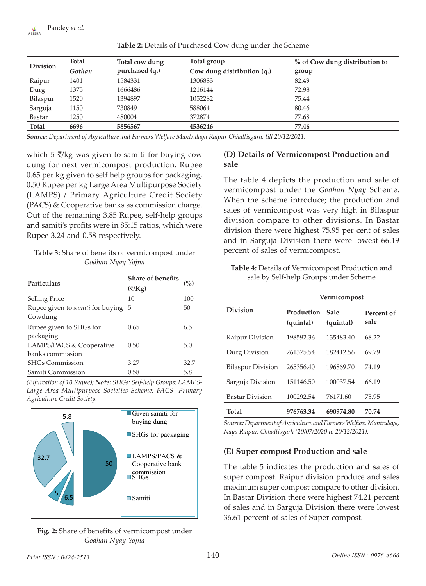| <b>Division</b> | Total  | Total cow dung | Total group                | % of Cow dung distribution to |
|-----------------|--------|----------------|----------------------------|-------------------------------|
|                 | Gothan | purchased (q.) | Cow dung distribution (q.) | group                         |
| Raipur          | 1401   | 1584331        | 1306883                    | 82.49                         |
| Durg            | 1375   | 1666486        | 1216144                    | 72.98                         |
| Bilaspur        | 1520   | 1394897        | 1052282                    | 75.44                         |
| Sarguja         | 1150   | 730849         | 588064                     | 80.46                         |
| Bastar          | 1250   | 480004         | 372874                     | 77.68                         |
| <b>Total</b>    | 6696   | 5856567        | 4536246                    | 77.46                         |

**Table 2:** Details of Purchased Cow dung under the Scheme

*Source: Department of Agriculture and Farmers Welfare Mantralaya Raipur Chhattisgarh, till 20/12/2021.*

which 5  $\bar{\zeta}/k$ g was given to samiti for buying cow dung for next vermicompost production. Rupee 0.65 per kg given to self help groups for packaging, 0.50 Rupee per kg Large Area Multipurpose Society (LAMPS) / Primary Agriculture Credit Society (PACS) & Cooperative banks as commission charge. Out of the remaining 3.85 Rupee, self-help groups and samiti's profits were in 85:15 ratios, which were Rupee 3.24 and 0.58 respectively.

| Table 3: Share of benefits of vermicompost under |
|--------------------------------------------------|
| Godhan Nyay Yojna                                |

| <b>Particulars</b>                            | Share of benefits<br>(₹/Kg) | (%)  |
|-----------------------------------------------|-----------------------------|------|
| <b>Selling Price</b>                          | 10                          | 100  |
| Rupee given to samiti for buying 5<br>Cowdung |                             | 50   |
| Rupee given to SHGs for<br>packaging          | 0.65                        | 6.5  |
| LAMPS/PACS & Cooperative<br>banks commission  | 0.50                        | 5.0  |
| <b>SHGs Commission</b>                        | 3.27                        | 32.7 |
| Samiti Commission                             | 0.58                        | 5.8  |

*(Bifurcation of 10 Rupee); Note: SHGs: Self-help Groups; LAMPS-Large Area Multipurpose Societies Scheme; PACS- Primary Agriculture Credit Society.*



#### **Fig. 2:** Share of benefits of vermicompost under *Godhan Nyay Yojna*

## **(D) Details of Vermicompost Production and sale**

The table 4 depicts the production and sale of vermicompost under the *Godhan Nyay* Scheme. When the scheme introduce; the production and sales of vermicompost was very high in Bilaspur division compare to other divisions. In Bastar division there were highest 75.95 per cent of sales and in Sarguja Division there were lowest 66.19 percent of sales of vermicompost.

**Table 4:** Details of Vermicompost Production and sale by Self-help Groups under Scheme

|                          | Vermicompost            |                   |                    |  |
|--------------------------|-------------------------|-------------------|--------------------|--|
| Division                 | Production<br>(quintal) | Sale<br>(quintal) | Percent of<br>sale |  |
| Raipur Division          | 198592.36               | 135483.40         | 68.22              |  |
| Durg Division            | 261375.54               | 182412.56         | 69.79              |  |
| <b>Bilaspur Division</b> | 265356.40               | 196869.70         | 74.19              |  |
| Sarguja Division         | 151146.50               | 100037.54         | 66.19              |  |
| <b>Bastar Division</b>   | 100292.54               | 76171.60          | 75.95              |  |
| Total                    | 976763.34               | 690974.80         | 70.74              |  |

*Source: Department of Agriculture and Farmers Welfare, Mantralaya, Naya Raipur, Chhattisgarh (20/07/2020 to 20/12/2021).*

## **(E) Super compost Production and sale**

The table 5 indicates the production and sales of super compost. Raipur division produce and sales maximum super compost compare to other division. In Bastar Division there were highest 74.21 percent of sales and in Sarguja Division there were lowest 36.61 percent of sales of Super compost.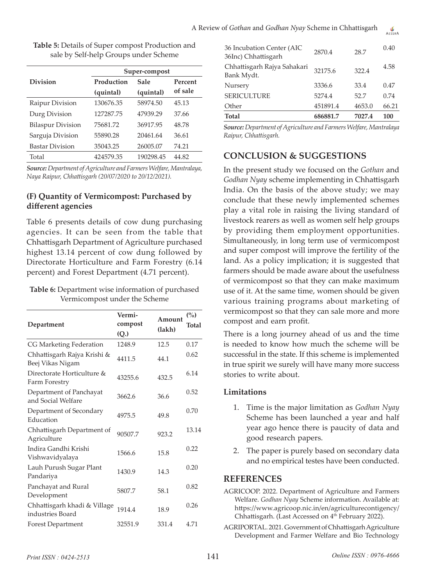| Production<br>Sale |           | Percent       |  |
|--------------------|-----------|---------------|--|
| (quintal)          | (quintal) | of sale       |  |
| 130676.35          | 58974.50  | 45.13         |  |
| 127287.75          | 47939.29  | 37.66         |  |
| 75681.72           | 36917.95  | 48.78         |  |
| 55890.28           | 20461.64  | 36.61         |  |
| 35043.25           | 26005.07  | 74.21         |  |
| 424579.35          | 190298.45 | 44.82         |  |
|                    |           | Super-compost |  |

**Table 5:** Details of Super compost Production and sale by Self-help Groups under Scheme

*Source: Department of Agriculture and Farmers Welfare, Mantralaya, Naya Raipur, Chhattisgarh (20/07/2020 to 20/12/2021).*

#### **(F) Quantity of Vermicompost: Purchased by different agencies**

Table 6 presents details of cow dung purchasing agencies. It can be seen from the table that Chhattisgarh Department of Agriculture purchased highest 13.14 percent of cow dung followed by Directorate Horticulture and Farm Forestry (6.14 percent) and Forest Department (4.71 percent).

| Table 6: Department wise information of purchased |
|---------------------------------------------------|
| Vermicompost under the Scheme                     |

| Department                                       | Vermi-<br>compost<br>(Q.) | Amount<br>(lakh) | (%)<br>Total |
|--------------------------------------------------|---------------------------|------------------|--------------|
| CG Marketing Federation                          | 1248.9                    | 12.5             | 0.17         |
| Chhattisgarh Rajya Krishi &<br>Beej Vikas Nigam  | 4411.5                    | 44.1             | 0.62         |
| Directorate Horticulture &<br>Farm Forestry      | 43255.6                   | 432.5            | 6.14         |
| Department of Panchayat<br>and Social Welfare    | 3662.6                    | 36.6             | 0.52         |
| Department of Secondary<br>Education             | 4975.5                    | 49.8             | 0.70         |
| Chhattisgarh Department of<br>Agriculture        | 90507.7                   | 923.2            | 13.14        |
| Indira Gandhi Krishi<br>Vishwavidyalaya          | 1566.6                    | 15.8             | 0.22         |
| Lauh Purush Sugar Plant<br>Pandariya             | 1430.9                    | 14.3             | 0.20         |
| Panchayat and Rural<br>Development               | 5807.7                    | 58.1             | 0.82         |
| Chhattisgarh khadi & Village<br>industries Board | 1914.4                    | 18.9             | 0.26         |
| Forest Department                                | 32551.9                   | 331.4            | 4.71         |
|                                                  |                           |                  |              |

|         |       | 66.21              |
|---------|-------|--------------------|
| 5274.4  | 52.7  | 0.74               |
| 3336.6  | 33.4  | 0.47               |
| 32175.6 | 322.4 | 4.58               |
| 2870.4  | 28.7  | 0.40               |
|         |       | 451891.4<br>4653.0 |

*Source: Department of Agriculture and Farmers Welfare, Mantralaya Raipur, Chhattisgarh.*

# **CONCLUSION & SUGGESTIONS**

In the present study we focused on the *Gothan* and *Godhan Nyay* scheme implementing in Chhattisgarh India. On the basis of the above study; we may conclude that these newly implemented schemes play a vital role in raising the living standard of livestock rearers as well as women self help groups by providing them employment opportunities. Simultaneously, in long term use of vermicompost and super compost will improve the fertility of the land. As a policy implication; it is suggested that farmers should be made aware about the usefulness of vermicompost so that they can make maximum use of it. At the same time, women should be given various training programs about marketing of vermicompost so that they can sale more and more compost and earn profit.

There is a long journey ahead of us and the time is needed to know how much the scheme will be successful in the state. If this scheme is implemented in true spirit we surely will have many more success stories to write about.

#### **Limitations**

- 1. Time is the major limitation as *Godhan Nyay* Scheme has been launched a year and half year ago hence there is paucity of data and good research papers.
- 2. The paper is purely based on secondary data and no empirical testes have been conducted.

#### **REFERENCES**

- AGRICOOP. 2022. Department of Agriculture and Farmers Welfare. *Godhan Nyay* Scheme information. Available at: https://www.agricoop.nic.in/en/agriculturecontigency/ Chhattisgarh. (Last Accessed on 4<sup>th</sup> February 2022).
- AGRIPORTAL. 2021. Government of Chhattisgarh Agriculture Development and Farmer Welfare and Bio Technology